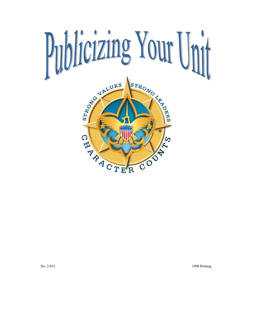

No. 2-912 1998 Printing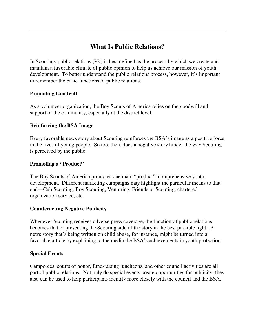# **What Is Public Relations?**

In Scouting, public relations (PR) is best defined as the process by which we create and maintain a favorable climate of public opinion to help us achieve our mission of youth development. To better understand the public relations process, however, it's important to remember the basic functions of public relations.

### **Promoting Goodwill**

As a volunteer organization, the Boy Scouts of America relies on the goodwill and support of the community, especially at the district level.

### **Reinforcing the BSA Image**

Every favorable news story about Scouting reinforces the BSA's image as a positive force in the lives of young people. So too, then, does a negative story hinder the way Scouting is perceived by the public.

### **Promoting a "Product"**

The Boy Scouts of America promotes one main "product": comprehensive youth development. Different marketing campaigns may highlight the particular means to that end—Cub Scouting, Boy Scouting, Venturing, Friends of Scouting, chartered organization service, etc.

### **Counteracting Negative Publicity**

Whenever Scouting receives adverse press coverage, the function of public relations becomes that of presenting the Scouting side of the story in the best possible light. A news story that's being written on child abuse, for instance, might be turned into a favorable article by explaining to the media the BSA's achievements in youth protection.

### **Special Events**

Camporees, courts of honor, fund-raising luncheons, and other council activities are all part of public relations. Not only do special events create opportunities for publicity; they also can be used to help participants identify more closely with the council and the BSA.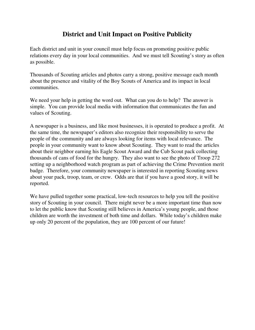## **District and Unit Impact on Positive Publicity**

Each district and unit in your council must help focus on promoting positive public relations every day in your local communities. And we must tell Scouting's story as often as possible.

Thousands of Scouting articles and photos carry a strong, positive message each month about the presence and vitality of the Boy Scouts of America and its impact in local communities.

We need your help in getting the word out. What can you do to help? The answer is simple. You can provide local media with information that communicates the fun and values of Scouting.

A newspaper is a business, and like most businesses, it is operated to produce a profit. At the same time, the newspaper's editors also recognize their responsibility to serve the people of the community and are always looking for items with local relevance. The people in your community want to know about Scouting. They want to read the articles about their neighbor earning his Eagle Scout Award and the Cub Scout pack collecting thousands of cans of food for the hungry. They also want to see the photo of Troop 272 setting up a neighborhood watch program as part of achieving the Crime Prevention merit badge. Therefore, your community newspaper is interested in reporting Scouting news about your pack, troop, team, or crew. Odds are that if you have a good story, it will be reported.

We have pulled together some practical, low-tech resources to help you tell the positive story of Scouting in your council. There might never be a more important time than now to let the public know that Scouting still believes in America's young people, and those children are worth the investment of both time and dollars. While today's children make up only 20 percent of the population, they are 100 percent of our future!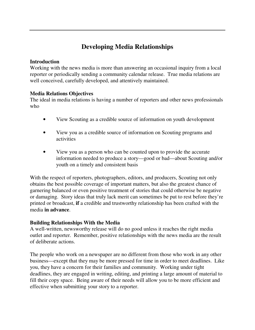# **Developing Media Relationships**

#### **Introduction**

Working with the news media is more than answering an occasional inquiry from a local reporter or periodically sending a community calendar release. True media relations are well conceived, carefully developed, and attentively maintained.

### **Media Relations Objectives**

The ideal in media relations is having a number of reporters and other news professionals who

- View Scouting as a credible source of information on youth development
- View you as a credible source of information on Scouting programs and activities
- View you as a person who can be counted upon to provide the accurate information needed to produce a story—good or bad—about Scouting and/or youth on a timely and consistent basis

With the respect of reporters, photographers, editors, and producers, Scouting not only obtains the best possible coverage of important matters, but also the greatest chance of garnering balanced or even positive treatment of stories that could otherwise be negative or damaging. Story ideas that truly lack merit can sometimes be put to rest before they're printed or broadcast, **if** a credible and trustworthy relationship has been crafted with the media **in advance**.

### **Building Relationships With the Media**

A well-written, newsworthy release will do no good unless it reaches the right media outlet and reporter. Remember, positive relationships with the news media are the result of deliberate actions.

The people who work on a newspaper are no different from those who work in any other business—except that they may be more pressed for time in order to meet deadlines. Like you, they have a concern for their families and community. Working under tight deadlines, they are engaged in writing, editing, and printing a large amount of material to fill their copy space. Being aware of their needs will allow you to be more efficient and effective when submitting your story to a reporter.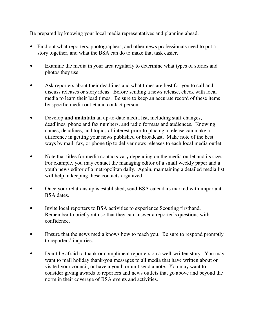Be prepared by knowing your local media representatives and planning ahead.

- Find out what reporters, photographers, and other news professionals need to put a story together, and what the BSA can do to make that task easier.
- Examine the media in your area regularly to determine what types of stories and photos they use.
- Ask reporters about their deadlines and what times are best for you to call and discuss releases or story ideas. Before sending a news release, check with local media to learn their lead times. Be sure to keep an accurate record of these items by specific media outlet and contact person.
- Develop **and maintain** an up-to-date media list, including staff changes, deadlines, phone and fax numbers, and radio formats and audiences. Knowing names, deadlines, and topics of interest prior to placing a release can make a difference in getting your news published or broadcast. Make note of the best ways by mail, fax, or phone tip to deliver news releases to each local media outlet.
- Note that titles for media contacts vary depending on the media outlet and its size. For example, you may contact the managing editor of a small weekly paper and a youth news editor of a metropolitan daily. Again, maintaining a detailed media list will help in keeping these contacts organized.
- Once your relationship is established, send BSA calendars marked with important BSA dates.
- Invite local reporters to BSA activities to experience Scouting firsthand. Remember to brief youth so that they can answer a reporter's questions with confidence.
- Ensure that the news media knows how to reach you. Be sure to respond promptly to reporters' inquiries.
- Don't be afraid to thank or compliment reporters on a well-written story. You may want to mail holiday thank-you messages to all media that have written about or visited your council, or have a youth or unit send a note. You may want to consider giving awards to reporters and news outlets that go above and beyond the norm in their coverage of BSA events and activities.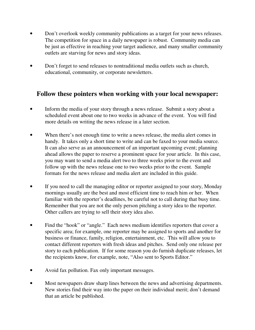- Don't overlook weekly community publications as a target for your news releases. The competition for space in a daily newspaper is robust. Community media can be just as effective in reaching your target audience, and many smaller community outlets are starving for news and story ideas.
- Don't forget to send releases to nontraditional media outlets such as church, educational, community, or corporate newsletters.

## **Follow these pointers when working with your local newspaper:**

- Inform the media of your story through a news release. Submit a story about a scheduled event about one to two weeks in advance of the event. You will find more details on writing the news release in a later section.
- When there's not enough time to write a news release, the media alert comes in handy. It takes only a short time to write and can be faxed to your media source. It can also serve as an announcement of an important upcoming event; planning ahead allows the paper to reserve a prominent space for your article. In this case, you may want to send a media alert two to three weeks prior to the event and follow up with the news release one to two weeks prior to the event. Sample formats for the news release and media alert are included in this guide.
- If you need to call the managing editor or reporter assigned to your story, Monday mornings usually are the best and most efficient time to reach him or her. When familiar with the reporter's deadlines, be careful not to call during that busy time. Remember that you are not the only person pitching a story idea to the reporter. Other callers are trying to sell their story idea also.
- Find the "hook" or "angle." Each news medium identifies reporters that cover a specific area; for example, one reporter may be assigned to sports and another for business or finance, family, religion, entertainment, etc. This will allow you to contact different reporters with fresh ideas and pitches. Send only one release per story to each publication. If for some reason you do furnish duplicate releases, let the recipients know, for example, note, "Also sent to Sports Editor."
- Avoid fax pollution. Fax only important messages.
- Most newspapers draw sharp lines between the news and advertising departments. New stories find their way into the paper on their individual merit; don't demand that an article be published.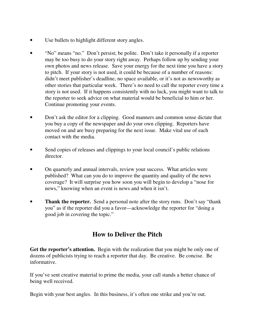- Use bullets to highlight different story angles.
- "No" means "no." Don't persist; be polite. Don't take it personally if a reporter may be too busy to do your story right away. Perhaps follow up by sending your own photos and news release. Save your energy for the next time you have a story to pitch. If your story is not used, it could be because of a number of reasons: didn't meet publisher's deadline, no space available, or it's not as newsworthy as other stories that particular week. There's no need to call the reporter every time a story is not used. If it happens consistently with no luck, you might want to talk to the reporter to seek advice on what material would be beneficial to him or her. Continue promoting your events.
- Don't ask the editor for a clipping. Good manners and common sense dictate that you buy a copy of the newspaper and do your own clipping. Reporters have moved on and are busy preparing for the next issue. Make vital use of each contact with the media.
- Send copies of releases and clippings to your local council's public relations director.
- On quarterly and annual intervals, review your success. What articles were published? What can you do to improve the quantity and quality of the news coverage? It will surprise you how soon you will begin to develop a "nose for news," knowing when an event is news and when it isn't.
- **Thank the reporter.** Send a personal note after the story runs. Don't say "thank" you" as if the reporter did you a favor—acknowledge the reporter for "doing a good job in covering the topic."

# **How to Deliver the Pitch**

**Get the reporter's attention.** Begin with the realization that you might be only one of dozens of publicists trying to reach a reporter that day. Be creative. Be concise. Be informative.

If you've sent creative material to prime the media, your call stands a better chance of being well received.

Begin with your best angles. In this business, it's often one strike and you're out.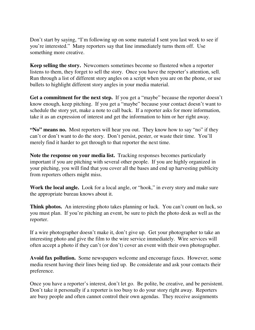Don't start by saying, "I'm following up on some material I sent you last week to see if you're interested." Many reporters say that line immediately turns them off. Use something more creative.

**Keep selling the story.** Newcomers sometimes become so flustered when a reporter listens to them, they forget to sell the story. Once you have the reporter's attention, sell. Run through a list of different story angles on a script when you are on the phone, or use bullets to highlight different story angles in your media material.

**Get a commitment for the next step.** If you get a "maybe" because the reporter doesn't know enough, keep pitching. If you get a "maybe" because your contact doesn't want to schedule the story yet, make a note to call back. If a reporter asks for more information, take it as an expression of interest and get the information to him or her right away.

**"No" means no.** Most reporters will hear you out. They know how to say "no" if they can't or don't want to do the story. Don't persist, pester, or waste their time. You'll merely find it harder to get through to that reporter the next time.

**Note the response on your media list.** Tracking responses becomes particularly important if you are pitching with several other people. If you are highly organized in your pitching, you will find that you cover all the bases and end up harvesting publicity from reporters others might miss.

**Work the local angle.** Look for a local angle, or "hook," in every story and make sure the appropriate bureau knows about it.

**Think photos.** An interesting photo takes planning or luck. You can't count on luck, so you must plan. If you're pitching an event, be sure to pitch the photo desk as well as the reporter.

If a wire photographer doesn't make it, don't give up. Get your photographer to take an interesting photo and give the film to the wire service immediately. Wire services will often accept a photo if they can't (or don't) cover an event with their own photographer.

**Avoid fax pollution.** Some newspapers welcome and encourage faxes. However, some media resent having their lines being tied up. Be considerate and ask your contacts their preference.

Once you have a reporter's interest, don't let go. Be polite, be creative, and be persistent. Don't take it personally if a reporter is too busy to do your story right away. Reporters are busy people and often cannot control their own agendas. They receive assignments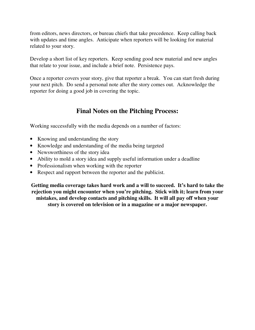from editors, news directors, or bureau chiefs that take precedence. Keep calling back with updates and time angles. Anticipate when reporters will be looking for material related to your story.

Develop a short list of key reporters. Keep sending good new material and new angles that relate to your issue, and include a brief note. Persistence pays.

Once a reporter covers your story, give that reporter a break. You can start fresh during your next pitch. Do send a personal note after the story comes out. Acknowledge the reporter for doing a good job in covering the topic.

### **Final Notes on the Pitching Process:**

Working successfully with the media depends on a number of factors:

- Knowing and understanding the story
- Knowledge and understanding of the media being targeted
- Newsworthiness of the story idea
- Ability to mold a story idea and supply useful information under a deadline
- Professionalism when working with the reporter
- Respect and rapport between the reporter and the publicist.

**Getting media coverage takes hard work and a will to succeed. It's hard to take the rejection you might encounter when you're pitching. Stick with it; learn from your mistakes, and develop contacts and pitching skills. It will all pay off when your story is covered on television or in a magazine or a major newspaper.**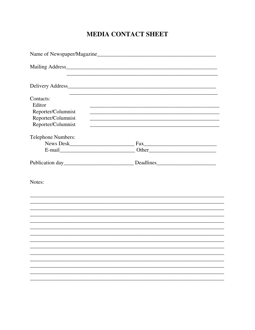# **MEDIA CONTACT SHEET**

| Name of Newspaper/Magazine                                                            |                                     |  |  |  |
|---------------------------------------------------------------------------------------|-------------------------------------|--|--|--|
|                                                                                       |                                     |  |  |  |
|                                                                                       |                                     |  |  |  |
| Contacts:<br>Editor<br>Reporter/Columnist<br>Reporter/Columnist<br>Reporter/Columnist |                                     |  |  |  |
| Telephone Numbers:                                                                    |                                     |  |  |  |
|                                                                                       | Fax                                 |  |  |  |
|                                                                                       |                                     |  |  |  |
|                                                                                       | Publication day Deadlines Deadlines |  |  |  |
| Notes:                                                                                |                                     |  |  |  |
|                                                                                       |                                     |  |  |  |
|                                                                                       |                                     |  |  |  |
|                                                                                       |                                     |  |  |  |
|                                                                                       |                                     |  |  |  |
|                                                                                       |                                     |  |  |  |
|                                                                                       |                                     |  |  |  |
|                                                                                       |                                     |  |  |  |
|                                                                                       |                                     |  |  |  |
|                                                                                       |                                     |  |  |  |
|                                                                                       |                                     |  |  |  |
|                                                                                       |                                     |  |  |  |
|                                                                                       |                                     |  |  |  |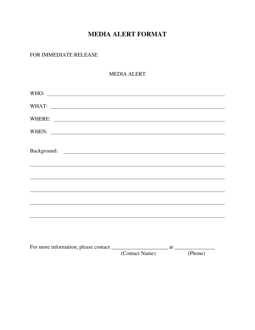# **MEDIA ALERT FORMAT**

### FOR IMMEDIATE RELEASE

### MEDIA ALERT

| (Contact Name) (Phone) |  |  |
|------------------------|--|--|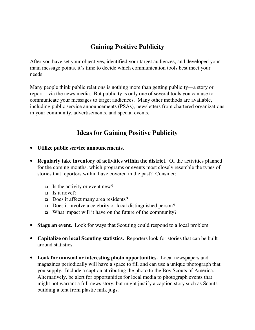# **Gaining Positive Publicity**

After you have set your objectives, identified your target audiences, and developed your main message points, it's time to decide which communication tools best meet your needs.

Many people think public relations is nothing more than getting publicity—a story or report—via the news media. But publicity is only one of several tools you can use to communicate your messages to target audiences. Many other methods are available, including public service announcements (PSAs), newsletters from chartered organizations in your community, advertisements, and special events.

# **Ideas for Gaining Positive Publicity**

- **Utilize public service announcements.**
- **Regularly take inventory of activities within the district.** Of the activities planned for the coming months, which programs or events most closely resemble the types of stories that reporters within have covered in the past? Consider:
	- $\Box$  Is the activity or event new?
	- $\Box$  Is it novel?
	- Does it affect many area residents?
	- Does it involve a celebrity or local distinguished person?
	- What impact will it have on the future of the community?
- **Stage an event.** Look for ways that Scouting could respond to a local problem.
- **Capitalize on local Scouting statistics.** Reporters look for stories that can be built around statistics.
- **Look for unusual or interesting photo opportunities.** Local newspapers and magazines periodically will have a space to fill and can use a unique photograph that you supply. Include a caption attributing the photo to the Boy Scouts of America. Alternatively, be alert for opportunities for local media to photograph events that might not warrant a full news story, but might justify a caption story such as Scouts building a tent from plastic milk jugs.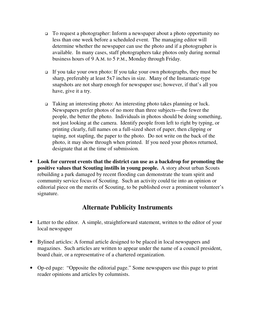- To request a photographer: Inform a newspaper about a photo opportunity no less than one week before a scheduled event. The managing editor will determine whether the newspaper can use the photo and if a photographer is available. In many cases, staff photographers take photos only during normal business hours of 9 A.M. to 5 P.M., Monday through Friday.
- If you take your own photo: If you take your own photographs, they must be sharp, preferably at least 5x7 inches in size. Many of the Instamatic-type snapshots are not sharp enough for newspaper use; however, if that's all you have, give it a try.
- Taking an interesting photo: An interesting photo takes planning or luck. Newspapers prefer photos of no more than three subjects—the fewer the people, the better the photo. Individuals in photos should be doing something, not just looking at the camera. Identify people from left to right by typing, or printing clearly, full names on a full-sized sheet of paper, then clipping or taping, not stapling, the paper to the photo. Do not write on the back of the photo, it may show through when printed. If you need your photos returned, designate that at the time of submission.
- **Look for current events that the district can use as a backdrop for promoting the positive values that Scouting instills in young people.** A story about urban Scouts rebuilding a park damaged by recent flooding can demonstrate the team spirit and community service focus of Scouting. Such an activity could tie into an opinion or editorial piece on the merits of Scouting, to be published over a prominent volunteer's signature.

## **Alternate Publicity Instruments**

- Letter to the editor. A simple, straightforward statement, written to the editor of your local newspaper
- Bylined articles: A formal article designed to be placed in local newspapers and magazines. Such articles are written to appear under the name of a council president, board chair, or a representative of a chartered organization.
- Op-ed page:"Opposite the editorial page." Some newspapers use this page to print reader opinions and articles by columnists.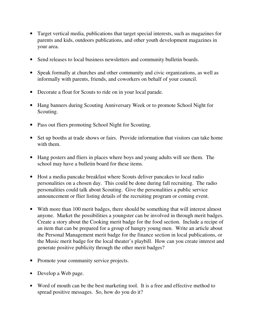- Target vertical media, publications that target special interests, such as magazines for parents and kids, outdoors publications, and other youth development magazines in your area.
- Send releases to local business newsletters and community bulletin boards.
- Speak formally at churches and other community and civic organizations, as well as informally with parents, friends, and coworkers on behalf of your council.
- Decorate a float for Scouts to ride on in your local parade.
- Hang banners during Scouting Anniversary Week or to promote School Night for Scouting.
- Pass out fliers promoting School Night for Scouting.
- Set up booths at trade shows or fairs. Provide information that visitors can take home with them.
- Hang posters and fliers in places where boys and young adults will see them. The school may have a bulletin board for these items.
- Host a media pancake breakfast where Scouts deliver pancakes to local radio personalities on a chosen day. This could be done during fall recruiting. The radio personalities could talk about Scouting. Give the personalities a public service announcement or flier listing details of the recruiting program or coming event.
- With more than 100 merit badges, there should be something that will interest almost anyone. Market the possibilities a youngster can be involved in through merit badges. Create a story about the Cooking merit badge for the food section. Include a recipe of an item that can be prepared for a group of hungry young men. Write an article about the Personal Management merit badge for the finance section in local publications, or the Music merit badge for the local theater's playbill. How can you create interest and generate positive publicity through the other merit badges?
- Promote your community service projects.
- Develop a Web page.
- Word of mouth can be the best marketing tool. It is a free and effective method to spread positive messages. So, how do you do it?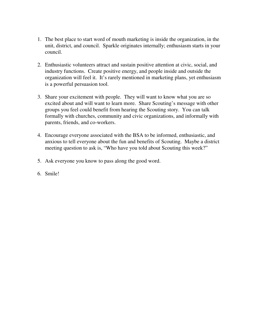- 1. The best place to start word of mouth marketing is inside the organization, in the unit, district, and council. Sparkle originates internally; enthusiasm starts in your council.
- 2. Enthusiastic volunteers attract and sustain positive attention at civic, social, and industry functions. Create positive energy, and people inside and outside the organization will feel it. It's rarely mentioned in marketing plans, yet enthusiasm is a powerful persuasion tool.
- 3. Share your excitement with people. They will want to know what you are so excited about and will want to learn more. Share Scouting's message with other groups you feel could benefit from hearing the Scouting story. You can talk formally with churches, community and civic organizations, and informally with parents, friends, and co-workers.
- 4. Encourage everyone associated with the BSA to be informed, enthusiastic, and anxious to tell everyone about the fun and benefits of Scouting. Maybe a district meeting question to ask is, "Who have you told about Scouting this week?"
- 5. Ask everyone you know to pass along the good word.
- 6. Smile!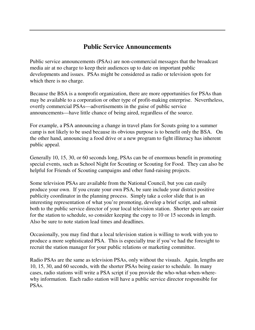## **Public Service Announcements**

Public service announcements (PSAs) are non-commercial messages that the broadcast media air at no charge to keep their audiences up to date on important public developments and issues. PSAs might be considered as radio or television spots for which there is no charge.

Because the BSA is a nonprofit organization, there are more opportunities for PSAs than may be available to a corporation or other type of profit-making enterprise. Nevertheless, overtly commercial PSAs—advertisements in the guise of public service announcements—have little chance of being aired, regardless of the source.

For example, a PSA announcing a change in travel plans for Scouts going to a summer camp is not likely to be used because its obvious purpose is to benefit only the BSA. On the other hand, announcing a food drive or a new program to fight illiteracy has inherent public appeal.

Generally 10, 15, 30, or 60 seconds long, PSAs can be of enormous benefit in promoting special events, such as School Night for Scouting or Scouting for Food. They can also be helpful for Friends of Scouting campaigns and other fund-raising projects.

Some television PSAs are available from the National Council, but you can easily produce your own. If you create your own PSA, be sure include your district positive publicity coordinator in the planning process. Simply take a color slide that is an interesting representation of what you're promoting, develop a brief script, and submit both to the public service director of your local television station. Shorter spots are easier for the station to schedule, so consider keeping the copy to 10 or 15 seconds in length. Also be sure to note station lead times and deadlines.

Occasionally, you may find that a local television station is willing to work with you to produce a more sophisticated PSA. This is especially true if you've had the foresight to recruit the station manager for your public relations or marketing committee.

Radio PSAs are the same as television PSAs, only without the visuals. Again, lengths are 10, 15, 30, and 60 seconds, with the shorter PSAs being easier to schedule. In many cases, radio stations will write a PSA script if you provide the who-what-when-wherewhy information. Each radio station will have a public service director responsible for PSAs.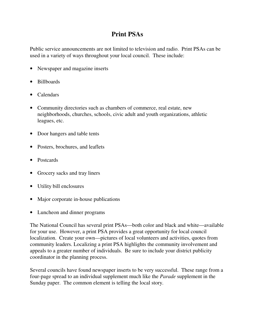# **Print PSAs**

Public service announcements are not limited to television and radio. Print PSAs can be used in a variety of ways throughout your local council. These include:

- Newspaper and magazine inserts
- Billboards
- Calendars
- Community directories such as chambers of commerce, real estate, new neighborhoods, churches, schools, civic adult and youth organizations, athletic leagues, etc.
- Door hangers and table tents
- Posters, brochures, and leaflets
- Postcards
- Grocery sacks and tray liners
- Utility bill enclosures
- Major corporate in-house publications
- Luncheon and dinner programs

The National Council has several print PSAs—both color and black and white—available for your use. However, a print PSA provides a great opportunity for local council localization. Create your own—pictures of local volunteers and activities, quotes from community leaders. Localizing a print PSA highlights the community involvement and appeals to a greater number of individuals. Be sure to include your district publicity coordinator in the planning process.

Several councils have found newspaper inserts to be very successful. These range from a four-page spread to an individual supplement much like the *Parade* supplement in the Sunday paper. The common element is telling the local story.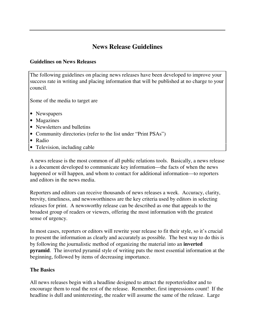## **News Release Guidelines**

### **Guidelines on News Releases**

The following guidelines on placing news releases have been developed to improve your success rate in writing and placing information that will be published at no charge to your council.

Some of the media to target are

- Newspapers
- Magazines
- Newsletters and bulletins
- Community directories (refer to the list under "Print PSAs")
- Radio
- Television, including cable

A news release is the most common of all public relations tools. Basically, a news release is a document developed to communicate key information—the facts of when the news happened or will happen, and whom to contact for additional information—to reporters and editors in the news media.

Reporters and editors can receive thousands of news releases a week. Accuracy, clarity, brevity, timeliness, and newsworthiness are the key criteria used by editors in selecting releases for print. A newsworthy release can be described as one that appeals to the broadest group of readers or viewers, offering the most information with the greatest sense of urgency.

In most cases, reporters or editors will rewrite your release to fit their style, so it's crucial to present the information as clearly and accurately as possible. The best way to do this is by following the journalistic method of organizing the material into an **inverted pyramid**. The inverted pyramid style of writing puts the most essential information at the beginning, followed by items of decreasing importance.

#### **The Basics**

All news releases begin with a headline designed to attract the reporter/editor and to encourage them to read the rest of the release. Remember, first impressions count! If the headline is dull and uninteresting, the reader will assume the same of the release. Large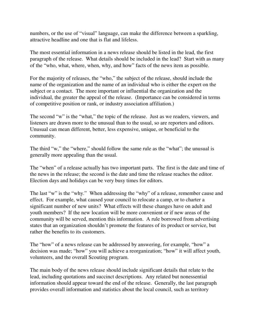numbers, or the use of "visual" language, can make the difference between a sparkling, attractive headline and one that is flat and lifeless.

The most essential information in a news release should be listed in the lead, the first paragraph of the release. What details should be included in the lead? Start with as many of the "who, what, where, when, why, and how" facts of the news item as possible.

For the majority of releases, the "who," the subject of the release, should include the name of the organization and the name of an individual who is either the expert on the subject or a contact. The more important or influential the organization and the individual, the greater the appeal of the release. (Importance can be considered in terms of competitive position or rank, or industry association affiliation.)

The second "w" is the "what," the topic of the release. Just as we readers, viewers, and listeners are drawn more to the unusual than to the usual, so are reporters and editors. Unusual can mean different, better, less expensive, unique, or beneficial to the community.

The third "w," the "where," should follow the same rule as the "what"; the unusual is generally more appealing than the usual.

The "when" of a release actually has two important parts. The first is the date and time of the news in the release; the second is the date and time the release reaches the editor. Election days and holidays can be very busy times for editors.

The last "w" is the "why." When addressing the "why" of a release, remember cause and effect. For example, what caused your council to relocate a camp, or to charter a significant number of new units? What effects will these changes have on adult and youth members? If the new location will be more convenient or if new areas of the community will be served, mention this information. A rule borrowed from advertising states that an organization shouldn't promote the features of its product or service, but rather the benefits to its customers.

The "how" of a news release can be addressed by answering, for example, "how" a decision was made; "how" you will achieve a reorganization; "how" it will affect youth, volunteers, and the overall Scouting program.

The main body of the news release should include significant details that relate to the lead, including quotations and succinct descriptions. Any related but nonessential information should appear toward the end of the release. Generally, the last paragraph provides overall information and statistics about the local council, such as territory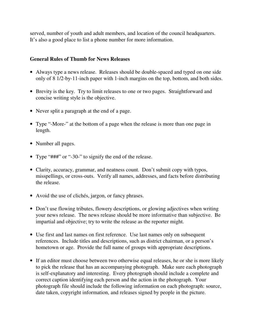served, number of youth and adult members, and location of the council headquarters. It's also a good place to list a phone number for more information.

#### **General Rules of Thumb for News Releases**

- Always type a news release. Releases should be double-spaced and typed on one side only of 8 1/2-by-11-inch paper with 1-inch margins on the top, bottom, and both sides.
- Brevity is the key. Try to limit releases to one or two pages. Straightforward and concise writing style is the objective.
- Never split a paragraph at the end of a page.
- Type "-More-" at the bottom of a page when the release is more than one page in length.
- Number all pages.
- Type "###" or "-30-" to signify the end of the release.
- Clarity, accuracy, grammar, and neatness count. Don't submit copy with typos, misspellings, or cross-outs. Verify all names, addresses, and facts before distributing the release.
- Avoid the use of clichés, jargon, or fancy phrases.
- Don't use flowing tributes, flowery descriptions, or glowing adjectives when writing your news release. The news release should be more informative than subjective. Be impartial and objective; try to write the release as the reporter might.
- Use first and last names on first reference. Use last names only on subsequent references. Include titles and descriptions, such as district chairman, or a person's hometown or age. Provide the full name of groups with appropriate descriptions.
- If an editor must choose between two otherwise equal releases, he or she is more likely to pick the release that has an accompanying photograph. Make sure each photograph is self-explanatory and interesting. Every photograph should include a complete and correct caption identifying each person and the action in the photograph. Your photograph file should include the following information on each photograph: source, date taken, copyright information, and releases signed by people in the picture.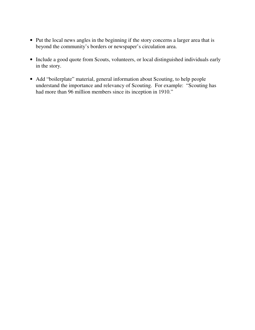- Put the local news angles in the beginning if the story concerns a larger area that is beyond the community's borders or newspaper's circulation area.
- Include a good quote from Scouts, volunteers, or local distinguished individuals early in the story.
- Add "boilerplate" material, general information about Scouting, to help people understand the importance and relevancy of Scouting. For example: "Scouting has had more than 96 million members since its inception in 1910."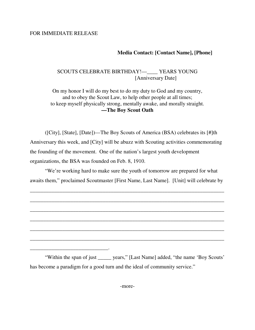#### FOR IMMEDIATE RELEASE

\_\_\_\_\_\_\_\_\_\_\_\_\_\_\_\_\_\_\_\_\_\_\_\_\_\_\_\_\_.

### **Media Contact: [Contact Name], [Phone]**

### SCOUTS CELEBRATE BIRTHDAY!—\_\_\_\_ YEARS YOUNG [Anniversary Date]

On my honor I will do my best to do my duty to God and my country, and to obey the Scout Law, to help other people at all times; to keep myself physically strong, mentally awake, and morally straight. **—The Boy Scout Oath** 

 ([City], [State], [Date])—The Boy Scouts of America (BSA) celebrates its [#]th Anniversary this week, and [City] will be abuzz with Scouting activities commemorating the founding of the movement. One of the nation's largest youth development organizations, the BSA was founded on Feb. 8, 1910.

 "We're working hard to make sure the youth of tomorrow are prepared for what awaits them," proclaimed Scoutmaster [First Name, Last Name]. [Unit] will celebrate by

\_\_\_\_\_\_\_\_\_\_\_\_\_\_\_\_\_\_\_\_\_\_\_\_\_\_\_\_\_\_\_\_\_\_\_\_\_\_\_\_\_\_\_\_\_\_\_\_\_\_\_\_\_\_\_\_\_\_\_\_\_\_\_\_\_\_\_\_\_\_\_\_

\_\_\_\_\_\_\_\_\_\_\_\_\_\_\_\_\_\_\_\_\_\_\_\_\_\_\_\_\_\_\_\_\_\_\_\_\_\_\_\_\_\_\_\_\_\_\_\_\_\_\_\_\_\_\_\_\_\_\_\_\_\_\_\_\_\_\_\_\_\_\_\_

\_\_\_\_\_\_\_\_\_\_\_\_\_\_\_\_\_\_\_\_\_\_\_\_\_\_\_\_\_\_\_\_\_\_\_\_\_\_\_\_\_\_\_\_\_\_\_\_\_\_\_\_\_\_\_\_\_\_\_\_\_\_\_\_\_\_\_\_\_\_\_\_

\_\_\_\_\_\_\_\_\_\_\_\_\_\_\_\_\_\_\_\_\_\_\_\_\_\_\_\_\_\_\_\_\_\_\_\_\_\_\_\_\_\_\_\_\_\_\_\_\_\_\_\_\_\_\_\_\_\_\_\_\_\_\_\_\_\_\_\_\_\_\_\_

\_\_\_\_\_\_\_\_\_\_\_\_\_\_\_\_\_\_\_\_\_\_\_\_\_\_\_\_\_\_\_\_\_\_\_\_\_\_\_\_\_\_\_\_\_\_\_\_\_\_\_\_\_\_\_\_\_\_\_\_\_\_\_\_\_\_\_\_\_\_\_\_

\_\_\_\_\_\_\_\_\_\_\_\_\_\_\_\_\_\_\_\_\_\_\_\_\_\_\_\_\_\_\_\_\_\_\_\_\_\_\_\_\_\_\_\_\_\_\_\_\_\_\_\_\_\_\_\_\_\_\_\_\_\_\_\_\_\_\_\_\_\_\_\_

 "Within the span of just \_\_\_\_\_ years," [Last Name] added, "the name 'Boy Scouts' has become a paradigm for a good turn and the ideal of community service."

-more-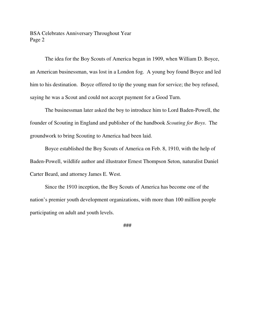BSA Celebrates Anniversary Throughout Year Page 2

 The idea for the Boy Scouts of America began in 1909, when William D. Boyce, an American businessman, was lost in a London fog. A young boy found Boyce and led him to his destination. Boyce offered to tip the young man for service; the boy refused, saying he was a Scout and could not accept payment for a Good Turn.

 The businessman later asked the boy to introduce him to Lord Baden-Powell, the founder of Scouting in England and publisher of the handbook *Scouting for Boys*. The groundwork to bring Scouting to America had been laid.

 Boyce established the Boy Scouts of America on Feb. 8, 1910, with the help of Baden-Powell, wildlife author and illustrator Ernest Thompson Seton, naturalist Daniel Carter Beard, and attorney James E. West.

 Since the 1910 inception, the Boy Scouts of America has become one of the nation's premier youth development organizations, with more than 100 million people participating on adult and youth levels.

###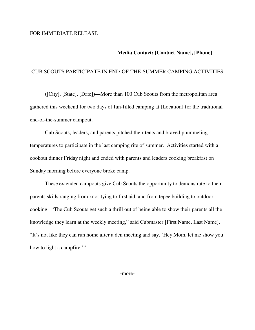#### FOR IMMEDIATE RELEASE

#### **Media Contact: [Contact Name], [Phone]**

#### CUB SCOUTS PARTICIPATE IN END-OF-THE-SUMMER CAMPING ACTIVITIES

 ([City], [State], [Date])—More than 100 Cub Scouts from the metropolitan area gathered this weekend for two days of fun-filled camping at [Location] for the traditional end-of-the-summer campout.

 Cub Scouts, leaders, and parents pitched their tents and braved plummeting temperatures to participate in the last camping rite of summer. Activities started with a cookout dinner Friday night and ended with parents and leaders cooking breakfast on Sunday morning before everyone broke camp.

 These extended campouts give Cub Scouts the opportunity to demonstrate to their parents skills ranging from knot-tying to first aid, and from tepee building to outdoor cooking. "The Cub Scouts get such a thrill out of being able to show their parents all the knowledge they learn at the weekly meeting," said Cubmaster [First Name, Last Name]. "It's not like they can run home after a den meeting and say, 'Hey Mom, let me show you how to light a campfire."

-more-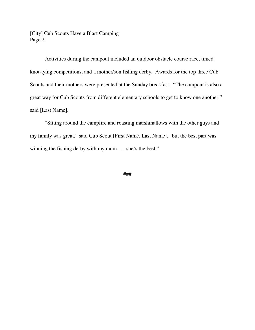[City] Cub Scouts Have a Blast Camping Page 2

Activities during the campout included an outdoor obstacle course race, timed knot-tying competitions, and a mother/son fishing derby. Awards for the top three Cub Scouts and their mothers were presented at the Sunday breakfast. "The campout is also a great way for Cub Scouts from different elementary schools to get to know one another," said [Last Name].

 "Sitting around the campfire and roasting marshmallows with the other guys and my family was great," said Cub Scout [First Name, Last Name], "but the best part was winning the fishing derby with my mom . . . she's the best."

###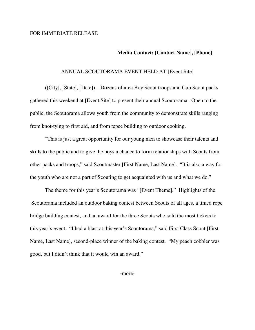#### **Media Contact: [Contact Name], [Phone]**

#### ANNUAL SCOUTORAMA EVENT HELD AT [Event Site]

 ([City], [State], [Date])—Dozens of area Boy Scout troops and Cub Scout packs gathered this weekend at [Event Site] to present their annual Scoutorama. Open to the public, the Scoutorama allows youth from the community to demonstrate skills ranging from knot-tying to first aid, and from tepee building to outdoor cooking.

 "This is just a great opportunity for our young men to showcase their talents and skills to the public and to give the boys a chance to form relationships with Scouts from other packs and troops," said Scoutmaster [First Name, Last Name]. "It is also a way for the youth who are not a part of Scouting to get acquainted with us and what we do."

 The theme for this year's Scoutorama was "[Event Theme]." Highlights of the Scoutorama included an outdoor baking contest between Scouts of all ages, a timed rope bridge building contest, and an award for the three Scouts who sold the most tickets to this year's event. "I had a blast at this year's Scoutorama," said First Class Scout [First Name, Last Name], second-place winner of the baking contest. "My peach cobbler was good, but I didn't think that it would win an award."

-more-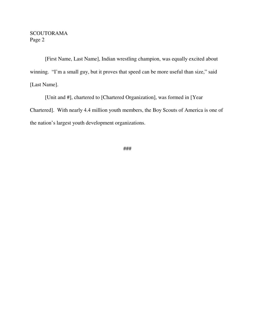### **SCOUTORAMA** Page 2

 [First Name, Last Name], Indian wrestling champion, was equally excited about winning. "I'm a small guy, but it proves that speed can be more useful than size," said [Last Name].

 [Unit and #], chartered to [Chartered Organization], was formed in [Year Chartered]. With nearly 4.4 million youth members, the Boy Scouts of America is one of the nation's largest youth development organizations.

###